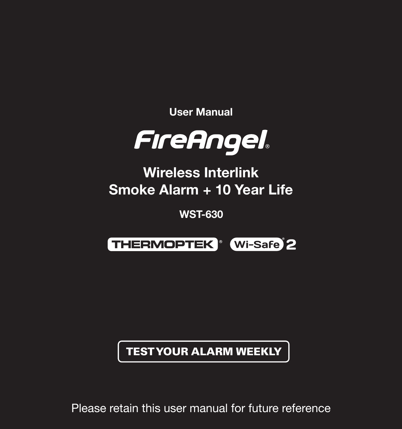User Manual



Wireless Interlink Smoke Alarm + 10 Year Life

WST-630



TEST YOUR ALARM WEEKLY

Please retain this user manual for future reference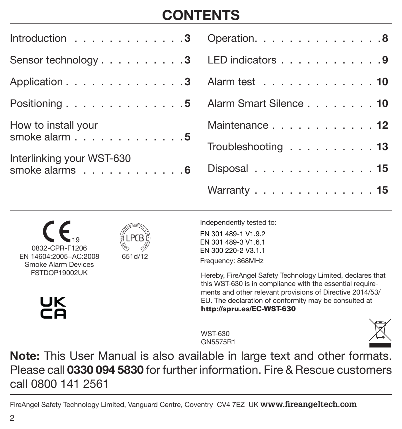# **CONTENTS**

| Introduction 3 Operation. 8                                         |                                                  |
|---------------------------------------------------------------------|--------------------------------------------------|
| Sensor technology3 LED indicators 9                                 |                                                  |
| Application 3 Alarm test 10                                         |                                                  |
| Positioning 5 Alarm Smart Silence 10                                |                                                  |
| How to install your                                                 | Maintenance 12                                   |
| smoke alarm $\ldots \ldots \ldots \ldots 5$                         | Troubleshooting $\ldots \ldots \ldots \ldots$ 13 |
| Interlinking your WST-630<br>smoke alarms $\dots \dots \dots \dots$ | Disposal 15                                      |
|                                                                     | Warranty 15                                      |

0832-CPR-F1206 EN 14604:2005+AC:2008 Smoke Alarm Devices FSTDOP19002UK 19



651d/12

Independently tested to:

EN 301 489-1 V1.9.2 EN 301 489-3 V1.6.1 EN 300 220-2 V3.1.1 Frequency: 868MHz

Hereby, FireAngel Safety Technology Limited, declares that this WST-630 is in compliance with the essential requirements and other relevant provisions of Directive 2014/53/ EU. The declaration of conformity may be consulted at http://spru.es/EC-WST-630

WST-630 GN5575R1



Note: This User Manual is also available in large text and other formats. Please call 0330 094 5830 for further information. Fire & Rescue customers call 0800 141 2561

FireAngel Safety Technology Limited, Vanguard Centre, Coventry CV4 7EZ UK **www.fireangeltech.com**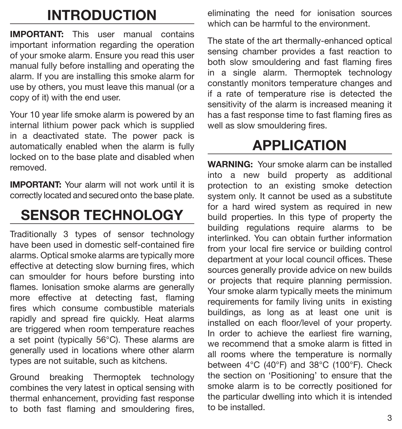# INTRODUCTION

IMPORTANT: This user manual contains important information regarding the operation of your smoke alarm. Ensure you read this user manual fully before installing and operating the alarm. If you are installing this smoke alarm for use by others, you must leave this manual (or a copy of it) with the end user.

Your 10 year life smoke alarm is powered by an internal lithium power pack which is supplied in a deactivated state. The power pack is automatically enabled when the alarm is fully locked on to the base plate and disabled when removed.

IMPORTANT: Your alarm will not work until it is correctly located and secured onto the base plate.

# SENSOR TECHNOLOGY

Traditionally 3 types of sensor technology have been used in domestic self-contained fire alarms. Optical smoke alarms are typically more effective at detecting slow burning fires, which can smoulder for hours before bursting into flames. Ionisation smoke alarms are generally more effective at detecting fast, flaming fires which consume combustible materials rapidly and spread fire quickly. Heat alarms are triggered when room temperature reaches a set point (typically 56°C). These alarms are generally used in locations where other alarm types are not suitable, such as kitchens.

Ground breaking Thermoptek technology combines the very latest in optical sensing with thermal enhancement, providing fast response to both fast flaming and smouldering fires, eliminating the need for ionisation sources which can be harmful to the environment.

The state of the art thermally-enhanced optical sensing chamber provides a fast reaction to both slow smouldering and fast flaming fires in a single alarm. Thermoptek technology constantly monitors temperature changes and if a rate of temperature rise is detected the sensitivity of the alarm is increased meaning it has a fast response time to fast flaming fires as well as slow smouldering fires.

# APPLICATION

WARNING: Your smoke alarm can be installed into a new build property as additional protection to an existing smoke detection system only. It cannot be used as a substitute for a hard wired system as required in new build properties. In this type of property the building regulations require alarms to be interlinked. You can obtain further information from your local fire service or building control department at your local council offices. These sources generally provide advice on new builds or projects that require planning permission. Your smoke alarm typically meets the minimum requirements for family living units in existing buildings, as long as at least one unit is installed on each floor/level of your property. In order to achieve the earliest fire warning, we recommend that a smoke alarm is fitted in all rooms where the temperature is normally between 4°C (40°F) and 38°C (100°F). Check the section on 'Positioning' to ensure that the smoke alarm is to be correctly positioned for the particular dwelling into which it is intended to be installed.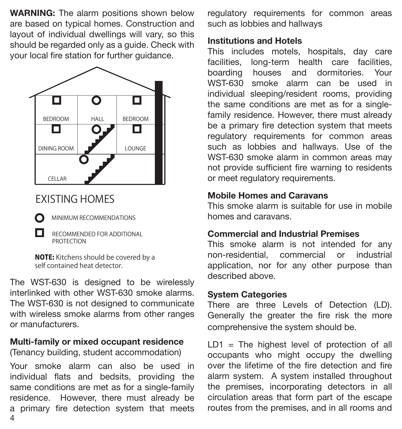WARNING: The alarm positions shown below are based on typical homes. Construction and layout of individual dwellings will vary, so this should be regarded only as a guide. Check with your local fire station for further guidance.



## EXISTING HOMES

O п MINIMUM RECOMMENDATIONS

RECOMMENDED FOR ADDITIONAL **PROTECTION** 

NOTE: Kitchens should be covered by a self contained heat detector.

The WST-630 is designed to be wirelessly interlinked with other WST-630 smoke alarms. The WST-630 is not designed to communicate with wireless smoke alarms from other ranges or manufacturers.

#### Multi-family or mixed occupant residence

(Tenancy building, student accommodation)

4 Your smoke alarm can also be used in individual flats and bedsits, providing the same conditions are met as for a single-family residence. However, there must already be a primary fire detection system that meets regulatory requirements for common areas such as lobbies and hallways

#### Institutions and Hotels

This includes motels, hospitals, day care facilities, long-term health care facilities, boarding houses and dormitories. Your WST-630 smoke alarm can be used in individual sleeping/resident rooms, providing the same conditions are met as for a singlefamily residence. However, there must already be a primary fire detection system that meets regulatory requirements for common areas such as lobbies and hallways. Use of the WST-630 smoke alarm in common areas may not provide sufficient fire warning to residents or meet regulatory requirements.

### Mobile Homes and Caravans

This smoke alarm is suitable for use in mobile homes and caravans.

### Commercial and Industrial Premises

This smoke alarm is not intended for any non-residential, commercial or industrial application, nor for any other purpose than described above.

### System Categories

There are three Levels of Detection (LD). Generally the greater the fire risk the more comprehensive the system should be.

 $LD1 = The highest level of protection of all$ occupants who might occupy the dwelling over the lifetime of the fire detection and fire alarm system. A system installed throughout the premises, incorporating detectors in all circulation areas that form part of the escape routes from the premises, and in all rooms and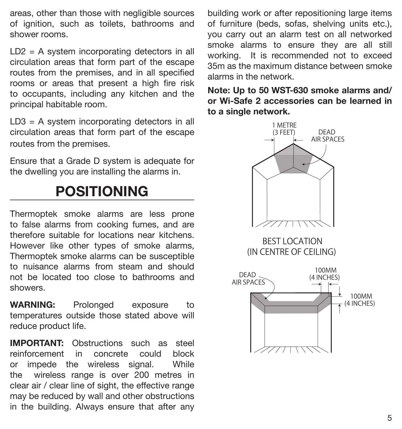areas, other than those with negligible sources of ignition, such as toilets, bathrooms and shower rooms.

LD2 = A system incorporating detectors in all circulation areas that form part of the escape routes from the premises, and in all specified rooms or areas that present a high fire risk to occupants, including any kitchen and the principal habitable room.

LD3 = A system incorporating detectors in all circulation areas that form part of the escape routes from the premises.

Ensure that a Grade D system is adequate for the dwelling you are installing the alarms in.

# POSITIONING

Thermoptek smoke alarms are less prone to false alarms from cooking fumes, and are therefore suitable for locations near kitchens. However like other types of smoke alarms, Thermoptek smoke alarms can be susceptible to nuisance alarms from steam and should not be located too close to bathrooms and showers.

WARNING: Prolonged exposure to temperatures outside those stated above will reduce product life.

IMPORTANT: Obstructions such as steel reinforcement in concrete could block or impede the wireless signal. While the wireless range is over 200 metres in clear air / clear line of sight, the effective range may be reduced by wall and other obstructions in the building. Always ensure that after any building work or after repositioning large items of furniture (beds, sofas, shelving units etc.), you carry out an alarm test on all networked smoke alarms to ensure they are all still working. It is recommended not to exceed 35m as the maximum distance between smoke alarms in the network.

Note: Up to 50 WST-630 smoke alarms and/ or Wi-Safe 2 accessories can be learned in to a single network.

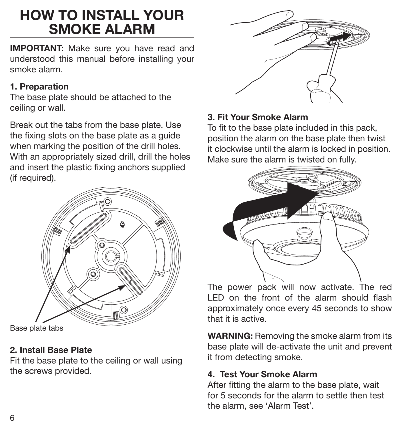# HOW TO INSTALL YOUR SMOKE ALARM

IMPORTANT: Make sure you have read and understood this manual before installing your smoke alarm.

## 1. Preparation

The base plate should be attached to the ceiling or wall.

Break out the tabs from the base plate. Use the fixing slots on the base plate as a guide when marking the position of the drill holes. With an appropriately sized drill, drill the holes and insert the plastic fixing anchors supplied (if required).



Base plate tabs

## 2. Install Base Plate

Fit the base plate to the ceiling or wall using the screws provided.



### 3. Fit Your Smoke Alarm

To fit to the base plate included in this pack, position the alarm on the base plate then twist it clockwise until the alarm is locked in position. Make sure the alarm is twisted on fully.



The power pack will now activate. The red LED on the front of the alarm should flash approximately once every 45 seconds to show that it is active.

WARNING: Removing the smoke alarm from its base plate will de-activate the unit and prevent it from detecting smoke.

## 4. Test Your Smoke Alarm

After fitting the alarm to the base plate, wait for 5 seconds for the alarm to settle then test the alarm, see 'Alarm Test'.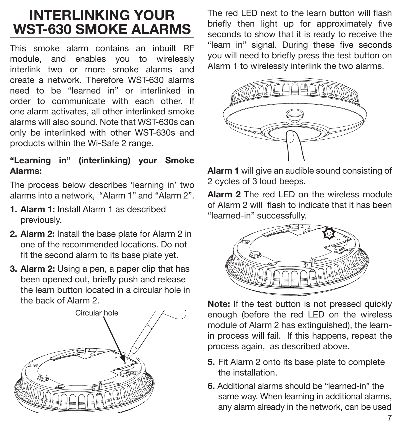# INTERLINKING YOUR WST-630 SMOKE ALARMS

This smoke alarm contains an inbuilt RF module, and enables you to wirelessly interlink two or more smoke alarms and create a network. Therefore WST-630 alarms need to be "learned in" or interlinked in order to communicate with each other. If one alarm activates, all other interlinked smoke alarms will also sound. Note that WST-630s can only be interlinked with other WST-630s and products within the Wi-Safe 2 range.

### "Learning in" (interlinking) your Smoke Alarms:

The process below describes 'learning in' two alarms into a network, "Alarm 1" and "Alarm 2".

- 1. Alarm 1: Install Alarm 1 as described previously.
- 2. Alarm 2: Install the base plate for Alarm 2 in one of the recommended locations. Do not fit the second alarm to its base plate yet.
- 3. Alarm 2: Using a pen, a paper clip that has been opened out, briefly push and release the learn button located in a circular hole in the back of Alarm 2.



The red LED next to the learn button will flash briefly then light up for approximately five seconds to show that it is ready to receive the "learn in" signal. During these five seconds you will need to briefly press the test button on Alarm 1 to wirelessly interlink the two alarms.



Alarm 1 will give an audible sound consisting of 2 cycles of 3 loud beeps.

Alarm 2 The red LED on the wireless module of Alarm 2 will flash to indicate that it has been "learned-in" successfully.



Note: If the test button is not pressed quickly enough (before the red LED on the wireless module of Alarm 2 has extinguished), the learnin process will fail. If this happens, repeat the process again, as described above.

- 5. Fit Alarm 2 onto its base plate to complete the installation.
- 6. Additional alarms should be "learned-in" the same way. When learning in additional alarms, any alarm already in the network, can be used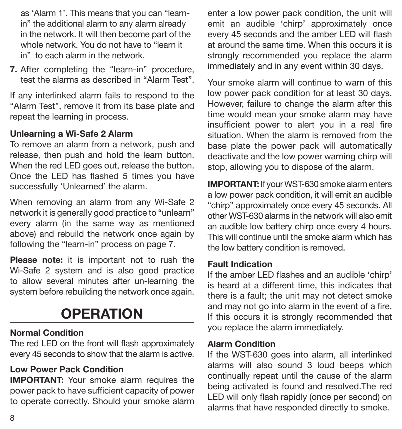as 'Alarm 1'. This means that you can "learnin" the additional alarm to any alarm already in the network. It will then become part of the whole network. You do not have to "learn it in" to each alarm in the network.

7. After completing the "learn-in" procedure, test the alarms as described in "Alarm Test".

If any interlinked alarm fails to respond to the "Alarm Test", remove it from its base plate and repeat the learning in process.

### Unlearning a Wi-Safe 2 Alarm

To remove an alarm from a network, push and release, then push and hold the learn button. When the red LED goes out, release the button. Once the LED has flashed 5 times you have successfully 'Unlearned' the alarm.

When removing an alarm from any Wi-Safe 2 network it is generally good practice to "unlearn" every alarm (in the same way as mentioned above) and rebuild the network once again by following the "learn-in" process on page 7.

Please note: it is important not to rush the Wi-Safe 2 system and is also good practice to allow several minutes after un-learning the system before rebuilding the network once again.

# **OPERATION**

### Normal Condition

The red LED on the front will flash approximately every 45 seconds to show that the alarm is active.

### Low Power Pack Condition

**IMPORTANT:** Your smoke alarm requires the power pack to have sufficient capacity of power to operate correctly. Should your smoke alarm enter a low power pack condition, the unit will emit an audible 'chirp' approximately once every 45 seconds and the amber LED will flash at around the same time. When this occurs it is strongly recommended you replace the alarm immediately and in any event within 30 days.

Your smoke alarm will continue to warn of this low power pack condition for at least 30 days. However, failure to change the alarm after this time would mean your smoke alarm may have insufficient power to alert you in a real fire situation. When the alarm is removed from the base plate the power pack will automatically deactivate and the low power warning chirp will stop, allowing you to dispose of the alarm.

IMPORTANT: If your WST-630 smoke alarm enters a low power pack condition, it will emit an audible "chirp" approximately once every 45 seconds. All other WST-630 alarms in the network will also emit an audible low battery chirp once every 4 hours. This will continue until the smoke alarm which has the low battery condition is removed.

#### Fault Indication

If the amber LED flashes and an audible 'chirp' is heard at a different time, this indicates that there is a fault; the unit may not detect smoke and may not go into alarm in the event of a fire. If this occurs it is strongly recommended that you replace the alarm immediately.

#### Alarm Condition

If the WST-630 goes into alarm, all interlinked alarms will also sound 3 loud beeps which continually repeat until the cause of the alarm being activated is found and resolved.The red LED will only flash rapidly (once per second) on alarms that have responded directly to smoke.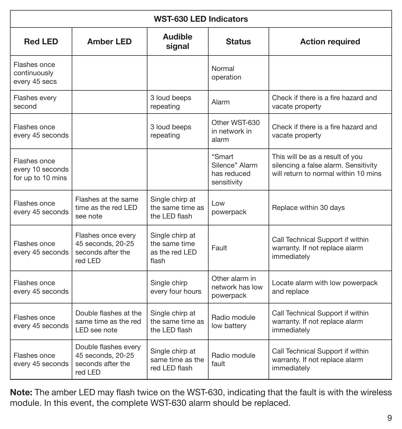| <b>WST-630 LED Indicators</b>                         |                                                                           |                                                             |                                                        |                                                                                                                 |  |
|-------------------------------------------------------|---------------------------------------------------------------------------|-------------------------------------------------------------|--------------------------------------------------------|-----------------------------------------------------------------------------------------------------------------|--|
| <b>Red LED</b>                                        | <b>Amber LED</b>                                                          | Audible<br>signal                                           | <b>Status</b>                                          | <b>Action required</b>                                                                                          |  |
| Flashes once<br>continuously<br>every 45 secs         |                                                                           |                                                             | Normal<br>operation                                    |                                                                                                                 |  |
| Flashes every<br>second                               |                                                                           | 3 loud beeps<br>repeating                                   | Alarm                                                  | Check if there is a fire hazard and<br>vacate property                                                          |  |
| Flashes once<br>every 45 seconds                      |                                                                           | 3 loud beeps<br>repeating                                   | Other WST-630<br>in network in<br>alarm                | Check if there is a fire hazard and<br>vacate property                                                          |  |
| Flashes once<br>every 10 seconds<br>for up to 10 mins |                                                                           |                                                             | "Smart<br>Silence" Alarm<br>has reduced<br>sensitivity | This will be as a result of you<br>silencing a false alarm. Sensitivity<br>will return to normal within 10 mins |  |
| Flashes once<br>every 45 seconds                      | Flashes at the same<br>time as the red LED<br>see note                    | Single chirp at<br>the same time as<br>the LED flash        | Low<br>powerpack                                       | Replace within 30 days                                                                                          |  |
| Flashes once<br>every 45 seconds                      | Flashes once every<br>45 seconds, 20-25<br>seconds after the<br>red LED   | Single chirp at<br>the same time<br>as the red LED<br>flash | Fault                                                  | Call Technical Support if within<br>warranty. If not replace alarm<br>immediately                               |  |
| Flashes once<br>every 45 seconds                      |                                                                           | Single chirp<br>every four hours                            | Other alarm in<br>network has low<br>powerpack         | Locate alarm with low powerpack<br>and replace                                                                  |  |
| Flashes once<br>every 45 seconds                      | Double flashes at the<br>same time as the red<br>LED see note             | Single chirp at<br>the same time as<br>the LED flash        | Radio module<br>low battery                            | Call Technical Support if within<br>warranty. If not replace alarm<br>immediately                               |  |
| Flashes once<br>every 45 seconds                      | Double flashes every<br>45 seconds, 20-25<br>seconds after the<br>red LED | Single chirp at<br>same time as the<br>red LED flash        | Radio module<br>fault                                  | Call Technical Support if within<br>warranty. If not replace alarm<br>immediately                               |  |

Note: The amber LED may flash twice on the WST-630, indicating that the fault is with the wireless module. In this event, the complete WST-630 alarm should be replaced.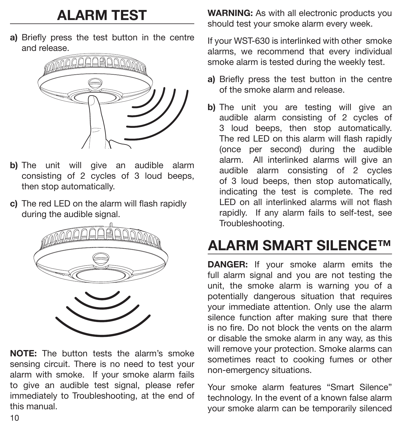# ALARM TEST

a) Briefly press the test button in the centre and release.



- b) The unit will give an audible alarm consisting of 2 cycles of 3 loud beeps, then stop automatically.
- c) The red LED on the alarm will flash rapidly during the audible signal.



NOTE: The button tests the alarm's smoke sensing circuit. There is no need to test your alarm with smoke. If your smoke alarm fails to give an audible test signal, please refer immediately to Troubleshooting, at the end of this manual.

WARNING: As with all electronic products you should test your smoke alarm every week.

If your WST-630 is interlinked with other smoke alarms, we recommend that every individual smoke alarm is tested during the weekly test.

- a) Briefly press the test button in the centre of the smoke alarm and release.
- b) The unit you are testing will give an audible alarm consisting of 2 cycles of 3 loud beeps, then stop automatically. The red LED on this alarm will flash rapidly (once per second) during the audible alarm. All interlinked alarms will give an audible alarm consisting of 2 cycles of 3 loud beeps, then stop automatically, indicating the test is complete. The red LED on all interlinked alarms will not flash rapidly. If any alarm fails to self-test, see Troubleshooting.

# ALARM SMART SILENCE™

DANGER: If your smoke alarm emits the full alarm signal and you are not testing the unit, the smoke alarm is warning you of a potentially dangerous situation that requires your immediate attention. Only use the alarm silence function after making sure that there is no fire. Do not block the vents on the alarm or disable the smoke alarm in any way, as this will remove your protection. Smoke alarms can sometimes react to cooking fumes or other non-emergency situations.

Your smoke alarm features "Smart Silence" technology. In the event of a known false alarm your smoke alarm can be temporarily silenced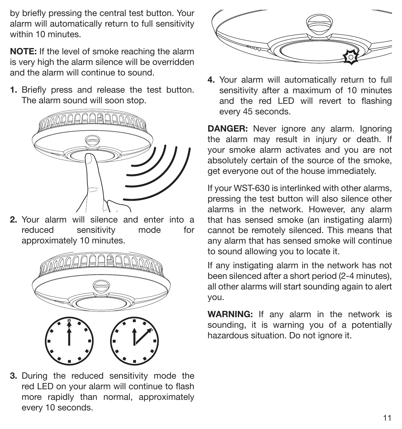by briefly pressing the central test button. Your alarm will automatically return to full sensitivity within 10 minutes.

NOTE: If the level of smoke reaching the alarm is very high the alarm silence will be overridden and the alarm will continue to sound.

1. Briefly press and release the test button. The alarm sound will soon stop.



2. Your alarm will silence and enter into a reduced sensitivity mode for approximately 10 minutes.



3. During the reduced sensitivity mode the red LED on your alarm will continue to flash more rapidly than normal, approximately every 10 seconds.



4. Your alarm will automatically return to full sensitivity after a maximum of 10 minutes and the red LED will revert to flashing every 45 seconds.

**DANGER:** Never ignore any alarm. Ignoring the alarm may result in injury or death. If your smoke alarm activates and you are not absolutely certain of the source of the smoke, get everyone out of the house immediately.

If your WST-630 is interlinked with other alarms, pressing the test button will also silence other alarms in the network. However, any alarm that has sensed smoke (an instigating alarm) cannot be remotely silenced. This means that any alarm that has sensed smoke will continue to sound allowing you to locate it.

If any instigating alarm in the network has not been silenced after a short period (2-4 minutes), all other alarms will start sounding again to alert you.

WARNING: If any alarm in the network is sounding, it is warning you of a potentially hazardous situation. Do not ignore it.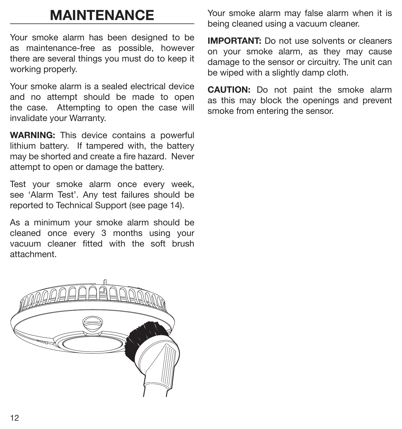# MAINTENANCE

Your smoke alarm has been designed to be as maintenance-free as possible, however there are several things you must do to keep it working properly.

Your smoke alarm is a sealed electrical device and no attempt should be made to open the case. Attempting to open the case will invalidate your Warranty.

WARNING: This device contains a powerful lithium battery. If tampered with, the battery may be shorted and create a fire hazard. Never attempt to open or damage the battery.

Test your smoke alarm once every week, see 'Alarm Test'. Any test failures should be reported to Technical Support (see page 14).

As a minimum your smoke alarm should be cleaned once every 3 months using your vacuum cleaner fitted with the soft brush attachment.



Your smoke alarm may false alarm when it is being cleaned using a vacuum cleaner.

IMPORTANT: Do not use solvents or cleaners on your smoke alarm, as they may cause damage to the sensor or circuitry. The unit can be wiped with a slightly damp cloth.

CAUTION: Do not paint the smoke alarm as this may block the openings and prevent smoke from entering the sensor.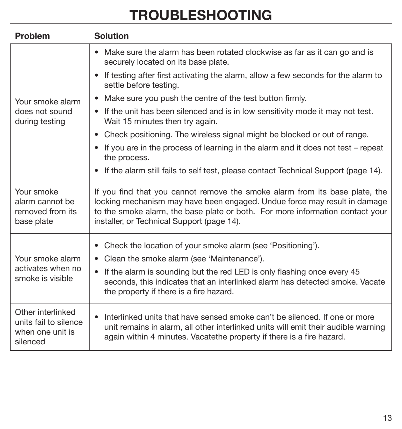# TROUBLESHOOTING

| Problem                                                                    | <b>Solution</b>                                                                                                                                                                                                                                                                                                       |  |  |
|----------------------------------------------------------------------------|-----------------------------------------------------------------------------------------------------------------------------------------------------------------------------------------------------------------------------------------------------------------------------------------------------------------------|--|--|
| Your smoke alarm<br>does not sound<br>during testing                       | • Make sure the alarm has been rotated clockwise as far as it can go and is<br>securely located on its base plate.                                                                                                                                                                                                    |  |  |
|                                                                            | • If testing after first activating the alarm, allow a few seconds for the alarm to<br>settle before testing.                                                                                                                                                                                                         |  |  |
|                                                                            | Make sure you push the centre of the test button firmly.                                                                                                                                                                                                                                                              |  |  |
|                                                                            | • If the unit has been silenced and is in low sensitivity mode it may not test.<br>Wait 15 minutes then try again.                                                                                                                                                                                                    |  |  |
|                                                                            | • Check positioning. The wireless signal might be blocked or out of range.                                                                                                                                                                                                                                            |  |  |
|                                                                            | • If you are in the process of learning in the alarm and it does not test – repeat<br>the process.                                                                                                                                                                                                                    |  |  |
|                                                                            | • If the alarm still fails to self test, please contact Technical Support (page 14).                                                                                                                                                                                                                                  |  |  |
| Your smoke<br>alarm cannot be<br>removed from its<br>base plate            | If you find that you cannot remove the smoke alarm from its base plate, the<br>locking mechanism may have been engaged. Undue force may result in damage<br>to the smoke alarm, the base plate or both. For more information contact your<br>installer, or Technical Support (page 14).                               |  |  |
| Your smoke alarm<br>activates when no<br>smoke is visible                  | • Check the location of your smoke alarm (see 'Positioning').<br>• Clean the smoke alarm (see 'Maintenance').<br>• If the alarm is sounding but the red LED is only flashing once every 45<br>seconds, this indicates that an interlinked alarm has detected smoke. Vacate<br>the property if there is a fire hazard. |  |  |
| Other interlinked<br>units fail to silence<br>when one unit is<br>silenced | Interlinked units that have sensed smoke can't be silenced. If one or more<br>unit remains in alarm, all other interlinked units will emit their audible warning<br>again within 4 minutes. Vacatethe property if there is a fire hazard.                                                                             |  |  |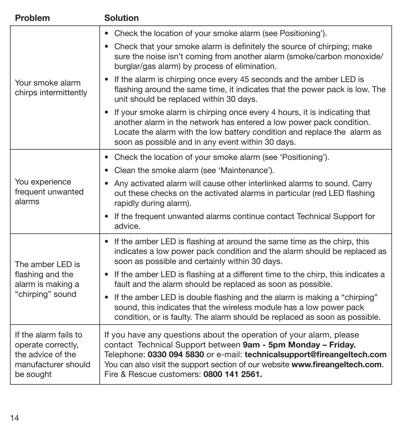| Problem                                                                                              | <b>Solution</b>                                                                                                                                                                                                                                                                                                                           |
|------------------------------------------------------------------------------------------------------|-------------------------------------------------------------------------------------------------------------------------------------------------------------------------------------------------------------------------------------------------------------------------------------------------------------------------------------------|
| Your smoke alarm<br>chirps intermittently                                                            | • Check the location of your smoke alarm (see Positioning').                                                                                                                                                                                                                                                                              |
|                                                                                                      | • Check that your smoke alarm is definitely the source of chirping; make<br>sure the noise isn't coming from another alarm (smoke/carbon monoxide/<br>burglar/gas alarm) by process of elimination.                                                                                                                                       |
|                                                                                                      | If the alarm is chirping once every 45 seconds and the amber LED is<br>٠<br>flashing around the same time, it indicates that the power pack is low. The<br>unit should be replaced within 30 days.                                                                                                                                        |
|                                                                                                      | If your smoke alarm is chirping once every 4 hours, it is indicating that<br>$\bullet$<br>another alarm in the network has entered a low power pack condition.<br>Locate the alarm with the low battery condition and replace the alarm as<br>soon as possible and in any event within 30 days.                                           |
| You experience<br>frequent unwanted<br>alarms                                                        | • Check the location of your smoke alarm (see 'Positioning').                                                                                                                                                                                                                                                                             |
|                                                                                                      | • Clean the smoke alarm (see 'Maintenance').                                                                                                                                                                                                                                                                                              |
|                                                                                                      | • Any activated alarm will cause other interlinked alarms to sound. Carry<br>out these checks on the activated alarms in particular (red LED flashing<br>rapidly during alarm).                                                                                                                                                           |
|                                                                                                      | If the frequent unwanted alarms continue contact Technical Support for<br>٠<br>advice.                                                                                                                                                                                                                                                    |
| The amber LED is<br>flashing and the<br>alarm is making a<br>"chirping" sound                        | • If the amber LED is flashing at around the same time as the chirp, this<br>indicates a low power pack condition and the alarm should be replaced as<br>soon as possible and certainly within 30 days.                                                                                                                                   |
|                                                                                                      | • If the amber LED is flashing at a different time to the chirp, this indicates a<br>fault and the alarm should be replaced as soon as possible.                                                                                                                                                                                          |
|                                                                                                      | If the amber LED is double flashing and the alarm is making a "chirping"<br>$\bullet$<br>sound, this indicates that the wireless module has a low power pack<br>condition, or is faulty. The alarm should be replaced as soon as possible.                                                                                                |
| If the alarm fails to<br>operate correctly.<br>the advice of the<br>manufacturer should<br>be sought | If you have any questions about the operation of your alarm, please<br>contact Technical Support between 9am - 5pm Monday - Friday.<br>Telephone: 0330 094 5830 or e-mail: technical support@fireangeltech.com<br>You can also visit the support section of our website www.fireangeltech.com.<br>Fire & Rescue customers: 0800 141 2561. |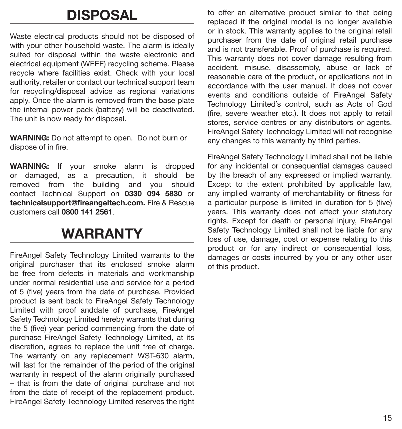# DISPOSAL

Waste electrical products should not be disposed of with your other household waste. The alarm is ideally suited for disposal within the waste electronic and electrical equipment (WEEE) recycling scheme. Please recycle where facilities exist. Check with your local authority, retailer or contact our technical support team for recycling/disposal advice as regional variations apply. Once the alarm is removed from the base plate the internal power pack (battery) will be deactivated. The unit is now ready for disposal.

WARNING: Do not attempt to open. Do not burn or dispose of in fire.

WARNING: If your smoke alarm is dropped or damaged, as a precaution, it should be removed from the building and you should contact Technical Support on 0330 094 5830 or technicalsupport@fireangeltech.com. Fire & Rescue customers call 0800 141 2561.

## WARRANTY

FireAngel Safety Technology Limited warrants to the original purchaser that its enclosed smoke alarm be free from defects in materials and workmanship under normal residential use and service for a period of 5 (five) years from the date of purchase. Provided product is sent back to FireAngel Safety Technology Limited with proof anddate of purchase, FireAngel Safety Technology Limited hereby warrants that during the 5 (five) year period commencing from the date of purchase FireAngel Safety Technology Limited, at its discretion, agrees to replace the unit free of charge. The warranty on any replacement WST-630 alarm, will last for the remainder of the period of the original warranty in respect of the alarm originally purchased – that is from the date of original purchase and not from the date of receipt of the replacement product. FireAngel Safety Technology Limited reserves the right to offer an alternative product similar to that being replaced if the original model is no longer available or in stock. This warranty applies to the original retail purchaser from the date of original retail purchase and is not transferable. Proof of purchase is required. This warranty does not cover damage resulting from accident, misuse, disassembly, abuse or lack of reasonable care of the product, or applications not in accordance with the user manual. It does not cover events and conditions outside of FireAngel Safety Technology Limited's control, such as Acts of God (fire, severe weather etc.). It does not apply to retail stores, service centres or any distributors or agents. FireAngel Safety Technology Limited will not recognise any changes to this warranty by third parties.

FireAngel Safety Technology Limited shall not be liable for any incidental or consequential damages caused by the breach of any expressed or implied warranty. Except to the extent prohibited by applicable law, any implied warranty of merchantability or fitness for a particular purpose is limited in duration for 5 (five) years. This warranty does not affect your statutory rights. Except for death or personal injury, FireAngel Safety Technology Limited shall not be liable for any loss of use, damage, cost or expense relating to this product or for any indirect or consequential loss, damages or costs incurred by you or any other user of this product.